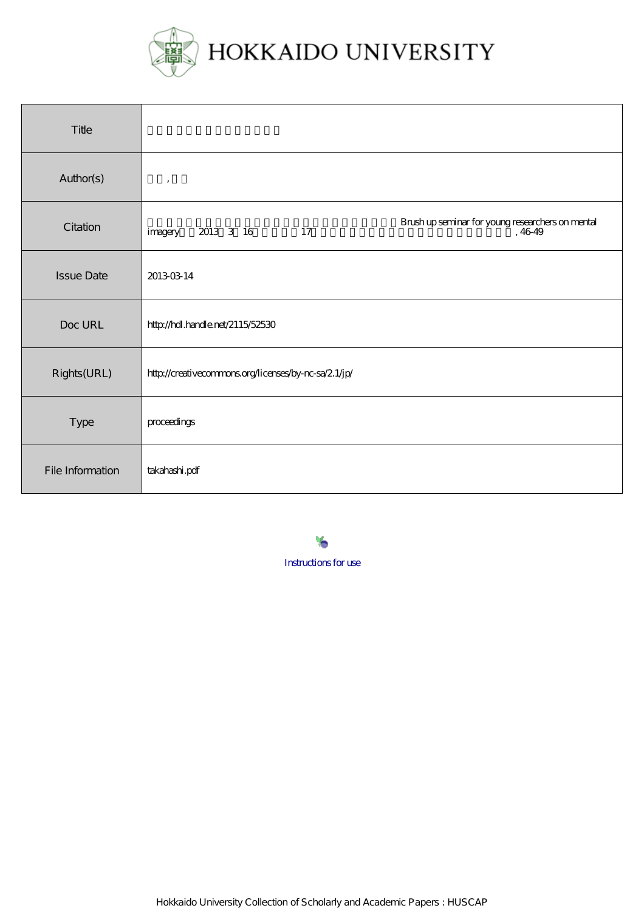

| Title             |                                                                                           |
|-------------------|-------------------------------------------------------------------------------------------|
| Author(s)         | $\,$                                                                                      |
| Citation          | Brush up seminar for young researchers on mental<br>, 46-49<br>2013 3 16<br>17<br>imagery |
| <b>Issue Date</b> | 20130314                                                                                  |
| Doc URL           | http://hdl.handle.net/2115/52530                                                          |
| Rights(URL)       | http://creativecommons.org/licenses/by-nc-sa/2.1/jp/                                      |
| Type              | proceedings                                                                               |
| File Information  | takahashi.pdf                                                                             |

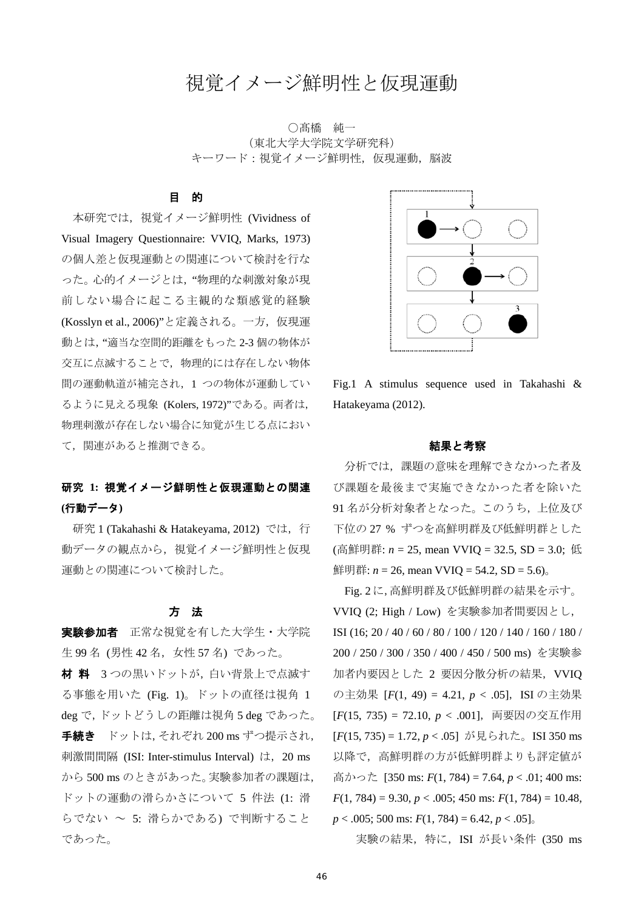# 視覚イメージ鮮明性と仮現運動

○髙橋 純一 (東北大学大学院文学研究科) キーワード:視覚イメージ鮮明性,仮現運動,脳波

#### 目 的

本研究では、視覚イメージ鮮明性 (Vividness of Visual Imagery Questionnaire: VVIQ, Marks, 1973) の個人差と仮現運動との関連について検討を行な った。心的イメージとは,"物理的な刺激対象が現 前しない場合に起こる主観的な類感覚的経験 (Kosslyn et al., 2006)"と定義される。一方, 仮現運 動とは,"適当な空間的距離をもった 2-3 個の物体が 交互に点滅することで,物理的には存在しない物体 間の運動軌道が補完され,1 つの物体が運動してい るように見える現象 (Kolers, 1972)"である。両者は, 物理刺激が存在しない場合に知覚が生じる点におい て,関連があると推測できる。

# 研究 **1:** 視覚イメージ鮮明性と仮現運動との関連 **(**行動データ**)**

研究 1 (Takahashi & Hatakeyama, 2012) では、行 動データの観点から,視覚イメージ鮮明性と仮現 運動との関連について検討した。

#### 方 法

実験参加者 正常な視覚を有した大学生・大学院 生 99 名 (男性 42 名,女性 57 名) であった。 材 料 3 つの黒いドットが,白い背景上で点滅す る事態を用いた (Fig. 1)。ドットの直径は視角 1 deg で,ドットどうしの距離は視角 5 deg であった。 手続き ドットは, それぞれ 200 ms ずつ提示され, 刺激間間隔 (ISI: Inter-stimulus Interval) は,20 ms から 500 ms のときがあった。実験参加者の課題は, ドットの運動の滑らかさについて 5 件法 (1: 滑 らでない ~ 5: 滑らかである) で判断すること であった。



Fig.1 A stimulus sequence used in Takahashi & Hatakeyama (2012).

### 結果と考察

 分析では,課題の意味を理解できなかった者及 び課題を最後まで実施できなかった者を除いた 91 名が分析対象者となった。このうち,上位及び 下位の 27 % ずつを高鮮明群及び低鮮明群とした (高鮮明群: *n* = 25, mean VVIQ = 32.5, SD = 3.0; 低 鮮明群:  $n = 26$ , mean VVIQ = 54.2, SD = 5.6).

Fig. 2に,高鮮明群及び低鮮明群の結果を示す。 VVIQ (2; High / Low) を実験参加者間要因とし, ISI (16; 20 / 40 / 60 / 80 / 100 / 120 / 140 / 160 / 180 / 200 / 250 / 300 / 350 / 400 / 450 / 500 ms) を実験参 加者内要因とした 2 要因分散分析の結果,VVIQ の主効果 [*F*(1, 49) = 4.21, *p* < .05], ISI の主効果 [*F*(15, 735) = 72.10, *p* < .001],両要因の交互作用 [*F*(15, 735) = 1.72, *p* < .05] が見られた。ISI 350 ms 以降で,高鮮明群の方が低鮮明群よりも評定値が 高かった [350 ms: *F*(1, 784) = 7.64, *p* < .01; 400 ms: *F*(1, 784) = 9.30, *p* < .005; 450 ms: *F*(1, 784) = 10.48, *p* < .005; 500 ms: *F*(1, 784) = 6.42, *p* < .05]。

実験の結果,特に,ISI が長い条件 (350 ms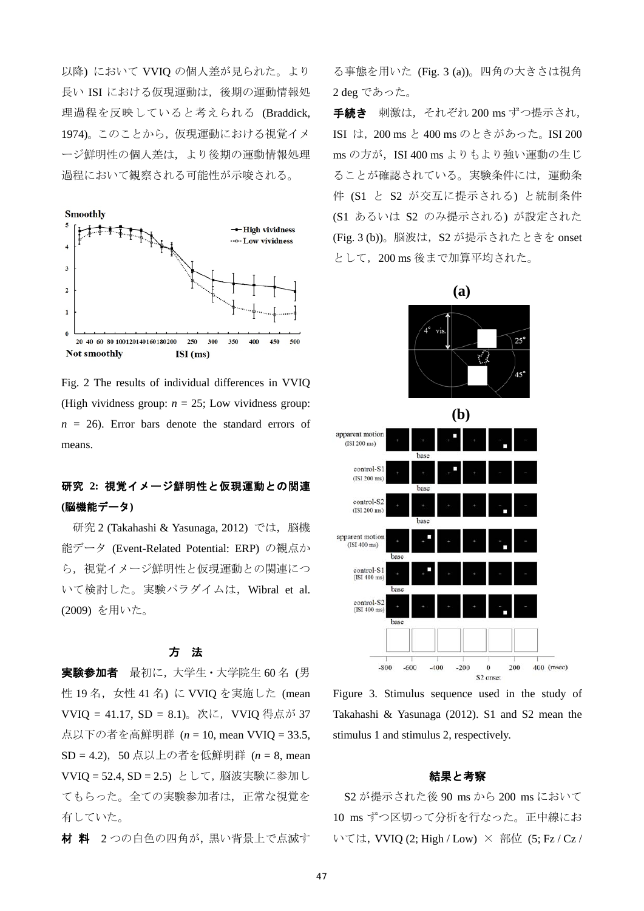以降) において VVIQ の個人差が見られた。より 長い ISI における仮現運動は,後期の運動情報処 理過程を反映していると考えられる (Braddick, 1974)。このことから、仮現運動における視覚イメ ージ鮮明性の個人差は,より後期の運動情報処理 過程において観察される可能性が示唆される。



Fig. 2 The results of individual differences in VVIQ (High vividness group:  $n = 25$ ; Low vividness group:  $n = 26$ ). Error bars denote the standard errors of means.

# 研究 **2:** 視覚イメージ鮮明性と仮現運動との関連 **(**脳機能データ**)**

研究 2 (Takahashi & Yasunaga, 2012) では、脳機 能データ (Event-Related Potential: ERP) の観点か ら,視覚イメージ鮮明性と仮現運動との関連につ いて検討した。実験パラダイムは,Wibral et al. (2009) を用いた。

#### 方 法

実験参加者 最初に,大学生·大学院生 60名 (男 性 19名, 女性 41名) に VVIQ を実施した (mean VVIQ = 41.17, SD = 8.1)。次に,VVIQ 得点が 37 点以下の者を高鮮明群 (*n* = 10, mean VVIQ = 33.5, SD = 4.2),50 点以上の者を低鮮明群 (*n* = 8, mean VVIQ = 52.4, SD = 2.5) として,脳波実験に参加し てもらった。全ての実験参加者は,正常な視覚を 有していた。

材 料 2 つの白色の四角が,黒い背景上で点滅す

る事態を用いた (Fig. 3 (a))。四角の大きさは視角 2 deg であった。

手続き 刺激は, それぞれ 200 ms ずつ提示され, ISI は,200 ms と 400 ms のときがあった。ISI 200 ms の方が, ISI 400 ms よりもより強い運動の生じ ることが確認されている。実験条件には,運動条 件 (S1 と S2 が交互に提示される) と統制条件 (S1 あるいは S2 のみ提示される) が設定された (Fig. 3 (b))。脳波は,S2 が提示されたときを onset として,200 ms 後まで加算平均された。



Figure 3. Stimulus sequence used in the study of Takahashi & Yasunaga (2012). S1 and S2 mean the stimulus 1 and stimulus 2, respectively.

#### 結果と考察

S2 が提示された後 90 ms から 200 ms において 10 ms ずつ区切って分析を行なった。正中線にお いては, VVIQ (2; High / Low) × 部位 (5; Fz / Cz /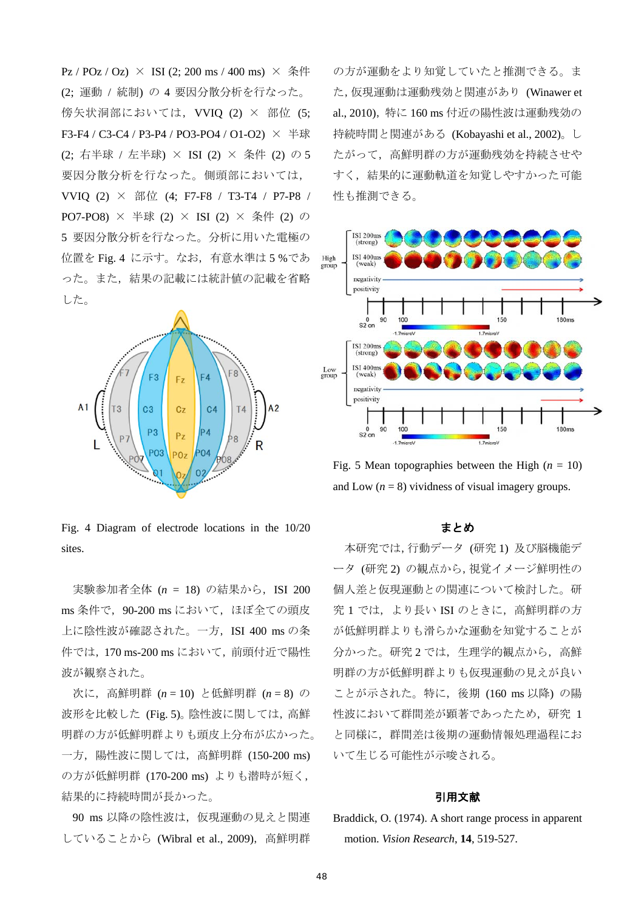$Pz / POz / Oz$   $\times$  ISI (2; 200 ms / 400 ms)  $\times$  条件 (2; 運動 / 統制) の 4 要因分散分析を行なった。 傍矢状洞部においては, VVIQ (2) × 部位 (5; F3-F4 / C3-C4 / P3-P4 / PO3-PO4 / O1-O2) × 半球 (2; 右半球 / 左半球) × ISI (2) × 条件 (2) の 5 要因分散分析を行なった。側頭部においては, VVIQ (2)  $\times$  部位 (4; F7-F8 / T3-T4 / P7-P8 / PO7-PO8) × 半球 (2) × ISI (2) × 条件 (2) の 5 要因分散分析を行なった。分析に用いた電極の 位置を Fig. 4 に示す。なお,有意水準は 5 %であ った。また,結果の記載には統計値の記載を省略 した。



Fig. 4 Diagram of electrode locations in the 10/20 sites.

実験参加者全体 (n = 18) の結果から, ISI 200 ms 条件で,90-200 ms において,ほぼ全ての頭皮 上に陰性波が確認された。一方, ISI 400 ms の条 件では,170 ms-200 ms において,前頭付近で陽性 波が観察された。

次に,高鮮明群 (*n* = 10) と低鮮明群 (*n* = 8) の 波形を比較した (Fig. 5)。陰性波に関しては、高鮮 明群の方が低鮮明群よりも頭皮上分布が広かった。 一方,陽性波に関しては,高鮮明群 (150-200 ms) の方が低鮮明群 (170-200 ms) よりも潜時が短く, 結果的に持続時間が長かった。

90 ms 以降の陰性波は、仮現運動の見えと関連 していることから (Wibral et al., 2009),高鮮明群

の方が運動をより知覚していたと推測できる。ま た,仮現運動は運動残効と関連があり (Winawer et al., 2010),特に 160 ms 付近の陽性波は運動残効の 持続時間と関連がある (Kobayashi et al., 2002)。し たがって,高鮮明群の方が運動残効を持続させや すく,結果的に運動軌道を知覚しやすかった可能 性も推測できる。



Fig. 5 Mean topographies between the High  $(n = 10)$ and Low  $(n = 8)$  vividness of visual imagery groups.

#### まとめ

 本研究では,行動データ (研究 1) 及び脳機能デ ータ (研究 2) の観点から,視覚イメージ鮮明性の 個人差と仮現運動との関連について検討した。研 究1では、より長い ISI のときに、高鮮明群の方 が低鮮明群よりも滑らかな運動を知覚することが 分かった。研究 2 では,生理学的観点から,高鮮 明群の方が低鮮明群よりも仮現運動の見えが良い ことが示された。特に,後期 (160 ms 以降) の陽 性波において群間差が顕著であったため、研究 1 と同様に,群間差は後期の運動情報処理過程にお いて生じる可能性が示唆される。

#### 引用文献

Braddick, O. (1974). A short range process in apparent motion. *Vision Research*, **14**, 519-527.